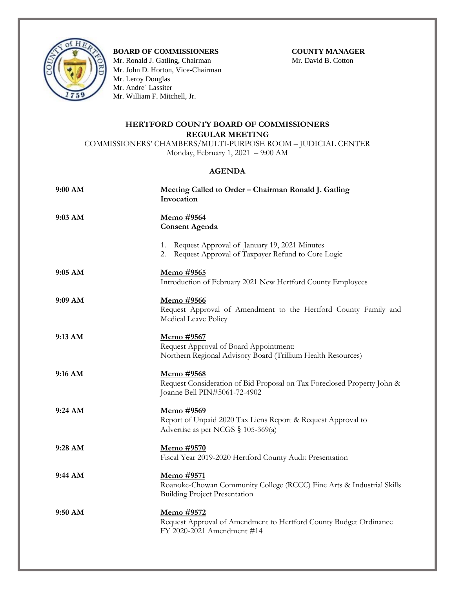

## **BOARD OF COMMISSIONERS COUNTY MANAGER**

Mr. Ronald J. Gatling, ChairmanMr. David B. Cotton Mr. John D. Horton, Vice-Chairman Mr. Leroy Douglas Mr. Andre` Lassiter Mr. William F. Mitchell, Jr.

## **HERTFORD COUNTY BOARD OF COMMISSIONERS REGULAR MEETING**

COMMISSIONERS' CHAMBERS/MULTI-PURPOSE ROOM – JUDICIAL CENTER Monday, February 1, 2021 – 9:00 AM

## **AGENDA**

| 9:00 AM   | Meeting Called to Order - Chairman Ronald J. Gatling<br>Invocation                                                          |
|-----------|-----------------------------------------------------------------------------------------------------------------------------|
| 9:03 AM   | Memo #9564<br><b>Consent Agenda</b>                                                                                         |
|           | 1. Request Approval of January 19, 2021 Minutes<br>Request Approval of Taxpayer Refund to Core Logic<br>2.                  |
| $9:05$ AM | Memo #9565<br>Introduction of February 2021 New Hertford County Employees                                                   |
| 9:09 AM   | Memo #9566<br>Request Approval of Amendment to the Hertford County Family and<br>Medical Leave Policy                       |
| $9:13$ AM | Memo #9567<br>Request Approval of Board Appointment:<br>Northern Regional Advisory Board (Trillium Health Resources)        |
| 9:16 AM   | Memo #9568<br>Request Consideration of Bid Proposal on Tax Foreclosed Property John &<br>Joanne Bell PIN#5061-72-4902       |
| 9:24 AM   | Memo #9569<br>Report of Unpaid 2020 Tax Liens Report & Request Approval to<br>Advertise as per NCGS § 105-369(a)            |
| 9:28 AM   | <u>Memo #9570</u><br>Fiscal Year 2019-2020 Hertford County Audit Presentation                                               |
| 9:44 AM   | Memo #9571<br>Roanoke-Chowan Community College (RCCC) Fine Arts & Industrial Skills<br><b>Building Project Presentation</b> |
| 9:50 AM   | Memo #9572<br>Request Approval of Amendment to Hertford County Budget Ordinance<br>FY 2020-2021 Amendment #14               |